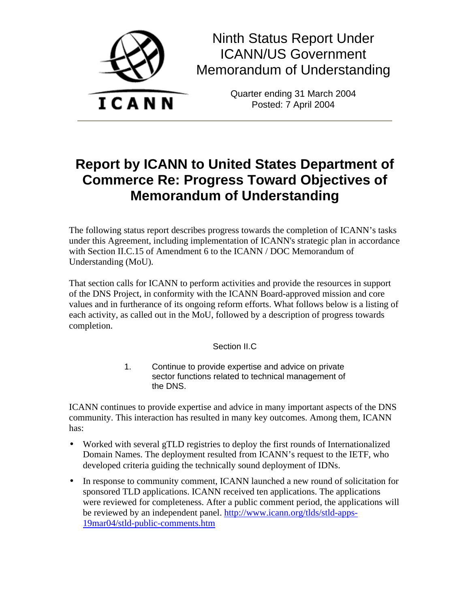

Ninth Status Report Under ICANN/US Government Memorandum of Understanding

> Quarter ending 31 March 2004 Posted: 7 April 2004

# **Report by ICANN to United States Department of Commerce Re: Progress Toward Objectives of Memorandum of Understanding**

The following status report describes progress towards the completion of ICANN's tasks under this Agreement, including implementation of ICANN's strategic plan in accordance with Section II.C.15 of Amendment 6 to the ICANN / DOC Memorandum of Understanding (MoU).

That section calls for ICANN to perform activities and provide the resources in support of the DNS Project, in conformity with the ICANN Board-approved mission and core values and in furtherance of its ongoing reform efforts. What follows below is a listing of each activity, as called out in the MoU, followed by a description of progress towards completion.

# Section II.C

1. Continue to provide expertise and advice on private sector functions related to technical management of the DNS.

ICANN continues to provide expertise and advice in many important aspects of the DNS community. This interaction has resulted in many key outcomes. Among them, ICANN has:

- Worked with several gTLD registries to deploy the first rounds of Internationalized Domain Names. The deployment resulted from ICANN's request to the IETF, who developed criteria guiding the technically sound deployment of IDNs.
- In response to community comment, ICANN launched a new round of solicitation for sponsored TLD applications. ICANN received ten applications. The applications were reviewed for completeness. After a public comment period, the applications will be reviewed by an independent panel. http://www.icann.org/tlds/stld-apps-19mar04/stld-public-comments.htm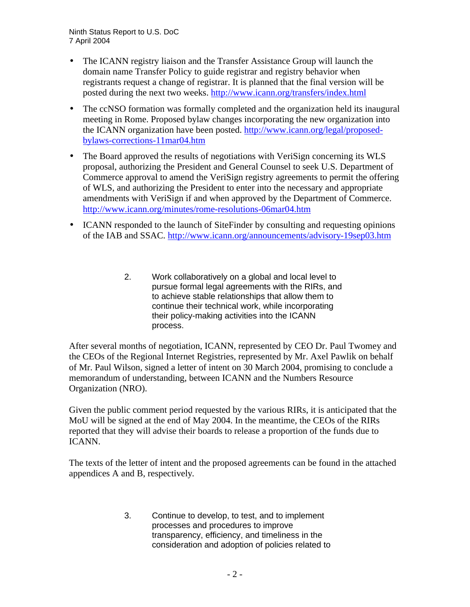- The ICANN registry liaison and the Transfer Assistance Group will launch the domain name Transfer Policy to guide registrar and registry behavior when registrants request a change of registrar. It is planned that the final version will be posted during the next two weeks. http://www.icann.org/transfers/index.html
- The ccNSO formation was formally completed and the organization held its inaugural meeting in Rome. Proposed bylaw changes incorporating the new organization into the ICANN organization have been posted. http://www.icann.org/legal/proposedbylaws-corrections-11mar04.htm
- The Board approved the results of negotiations with VeriSign concerning its WLS proposal, authorizing the President and General Counsel to seek U.S. Department of Commerce approval to amend the VeriSign registry agreements to permit the offering of WLS, and authorizing the President to enter into the necessary and appropriate amendments with VeriSign if and when approved by the Department of Commerce. http://www.icann.org/minutes/rome-resolutions-06mar04.htm
- ICANN responded to the launch of SiteFinder by consulting and requesting opinions of the IAB and SSAC. http://www.icann.org/announcements/advisory-19sep03.htm
	- 2. Work collaboratively on a global and local level to pursue formal legal agreements with the RIRs, and to achieve stable relationships that allow them to continue their technical work, while incorporating their policy-making activities into the ICANN process.

After several months of negotiation, ICANN, represented by CEO Dr. Paul Twomey and the CEOs of the Regional Internet Registries, represented by Mr. Axel Pawlik on behalf of Mr. Paul Wilson, signed a letter of intent on 30 March 2004, promising to conclude a memorandum of understanding, between ICANN and the Numbers Resource Organization (NRO).

Given the public comment period requested by the various RIRs, it is anticipated that the MoU will be signed at the end of May 2004. In the meantime, the CEOs of the RIRs reported that they will advise their boards to release a proportion of the funds due to ICANN.

The texts of the letter of intent and the proposed agreements can be found in the attached appendices A and B, respectively.

> 3. Continue to develop, to test, and to implement processes and procedures to improve transparency, efficiency, and timeliness in the consideration and adoption of policies related to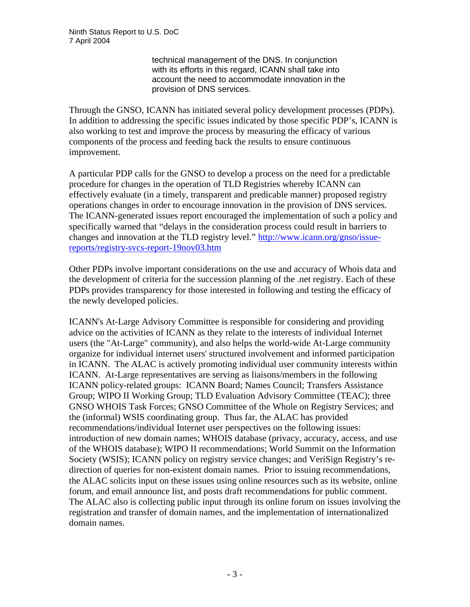technical management of the DNS. In conjunction with its efforts in this regard, ICANN shall take into account the need to accommodate innovation in the provision of DNS services.

Through the GNSO, ICANN has initiated several policy development processes (PDPs). In addition to addressing the specific issues indicated by those specific PDP's, ICANN is also working to test and improve the process by measuring the efficacy of various components of the process and feeding back the results to ensure continuous improvement.

A particular PDP calls for the GNSO to develop a process on the need for a predictable procedure for changes in the operation of TLD Registries whereby ICANN can effectively evaluate (in a timely, transparent and predicable manner) proposed registry operations changes in order to encourage innovation in the provision of DNS services. The ICANN-generated issues report encouraged the implementation of such a policy and specifically warned that "delays in the consideration process could result in barriers to changes and innovation at the TLD registry level." http://www.icann.org/gnso/issuereports/registry-svcs-report-19nov03.htm

Other PDPs involve important considerations on the use and accuracy of Whois data and the development of criteria for the succession planning of the .net registry. Each of these PDPs provides transparency for those interested in following and testing the efficacy of the newly developed policies.

ICANN's At-Large Advisory Committee is responsible for considering and providing advice on the activities of ICANN as they relate to the interests of individual Internet users (the "At-Large" community), and also helps the world-wide At-Large community organize for individual internet users' structured involvement and informed participation in ICANN. The ALAC is actively promoting individual user community interests within ICANN. At-Large representatives are serving as liaisons/members in the following ICANN policy-related groups: ICANN Board; Names Council; Transfers Assistance Group; WIPO II Working Group; TLD Evaluation Advisory Committee (TEAC); three GNSO WHOIS Task Forces; GNSO Committee of the Whole on Registry Services; and the (informal) WSIS coordinating group. Thus far, the ALAC has provided recommendations/individual Internet user perspectives on the following issues: introduction of new domain names; WHOIS database (privacy, accuracy, access, and use of the WHOIS database); WIPO II recommendations; World Summit on the Information Society (WSIS); ICANN policy on registry service changes; and VeriSign Registry's redirection of queries for non-existent domain names. Prior to issuing recommendations, the ALAC solicits input on these issues using online resources such as its website, online forum, and email announce list, and posts draft recommendations for public comment. The ALAC also is collecting public input through its online forum on issues involving the registration and transfer of domain names, and the implementation of internationalized domain names.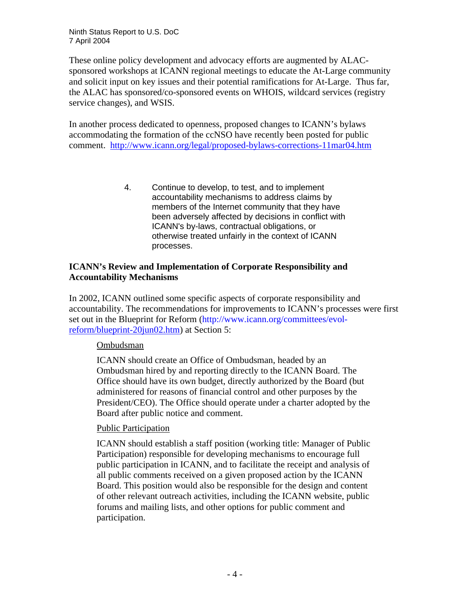These online policy development and advocacy efforts are augmented by ALACsponsored workshops at ICANN regional meetings to educate the At-Large community and solicit input on key issues and their potential ramifications for At-Large. Thus far, the ALAC has sponsored/co-sponsored events on WHOIS, wildcard services (registry service changes), and WSIS.

In another process dedicated to openness, proposed changes to ICANN's bylaws accommodating the formation of the ccNSO have recently been posted for public comment. http://www.icann.org/legal/proposed-bylaws-corrections-11mar04.htm

> 4. Continue to develop, to test, and to implement accountability mechanisms to address claims by members of the Internet community that they have been adversely affected by decisions in conflict with ICANN's by-laws, contractual obligations, or otherwise treated unfairly in the context of ICANN processes.

## **ICANN's Review and Implementation of Corporate Responsibility and Accountability Mechanisms**

In 2002, ICANN outlined some specific aspects of corporate responsibility and accountability. The recommendations for improvements to ICANN's processes were first set out in the Blueprint for Reform (http://www.icann.org/committees/evolreform/blueprint-20jun02.htm) at Section 5:

# Ombudsman

ICANN should create an Office of Ombudsman, headed by an Ombudsman hired by and reporting directly to the ICANN Board. The Office should have its own budget, directly authorized by the Board (but administered for reasons of financial control and other purposes by the President/CEO). The Office should operate under a charter adopted by the Board after public notice and comment.

# Public Participation

ICANN should establish a staff position (working title: Manager of Public Participation) responsible for developing mechanisms to encourage full public participation in ICANN, and to facilitate the receipt and analysis of all public comments received on a given proposed action by the ICANN Board. This position would also be responsible for the design and content of other relevant outreach activities, including the ICANN website, public forums and mailing lists, and other options for public comment and participation.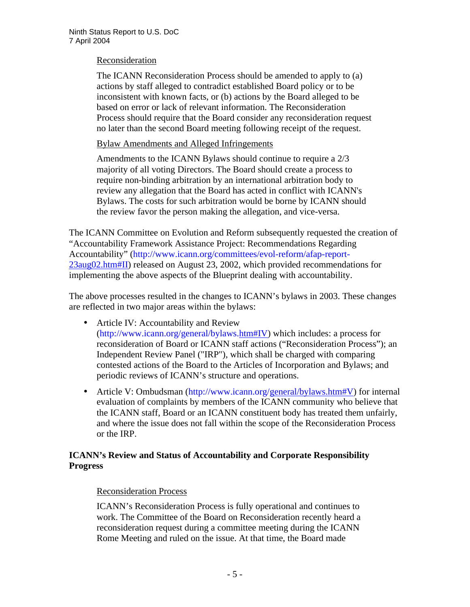#### Reconsideration

The ICANN Reconsideration Process should be amended to apply to (a) actions by staff alleged to contradict established Board policy or to be inconsistent with known facts, or (b) actions by the Board alleged to be based on error or lack of relevant information. The Reconsideration Process should require that the Board consider any reconsideration request no later than the second Board meeting following receipt of the request.

Bylaw Amendments and Alleged Infringements

Amendments to the ICANN Bylaws should continue to require a 2/3 majority of all voting Directors. The Board should create a process to require non-binding arbitration by an international arbitration body to review any allegation that the Board has acted in conflict with ICANN's Bylaws. The costs for such arbitration would be borne by ICANN should the review favor the person making the allegation, and vice-versa.

The ICANN Committee on Evolution and Reform subsequently requested the creation of "Accountability Framework Assistance Project: Recommendations Regarding Accountability" (http://www.icann.org/committees/evol-reform/afap-report-23aug02.htm#II) released on August 23, 2002, which provided recommendations for implementing the above aspects of the Blueprint dealing with accountability.

The above processes resulted in the changes to ICANN's bylaws in 2003. These changes are reflected in two major areas within the bylaws:

- Article IV: Accountability and Review (http://www.icann.org/general/bylaws.htm#IV) which includes: a process for reconsideration of Board or ICANN staff actions ("Reconsideration Process"); an Independent Review Panel ("IRP"), which shall be charged with comparing contested actions of the Board to the Articles of Incorporation and Bylaws; and periodic reviews of ICANN's structure and operations.
- Article V: Ombudsman (http://www.icann.org/general/bylaws.htm#V) for internal evaluation of complaints by members of the ICANN community who believe that the ICANN staff, Board or an ICANN constituent body has treated them unfairly, and where the issue does not fall within the scope of the Reconsideration Process or the IRP.

# **ICANN's Review and Status of Accountability and Corporate Responsibility Progress**

# Reconsideration Process

ICANN's Reconsideration Process is fully operational and continues to work. The Committee of the Board on Reconsideration recently heard a reconsideration request during a committee meeting during the ICANN Rome Meeting and ruled on the issue. At that time, the Board made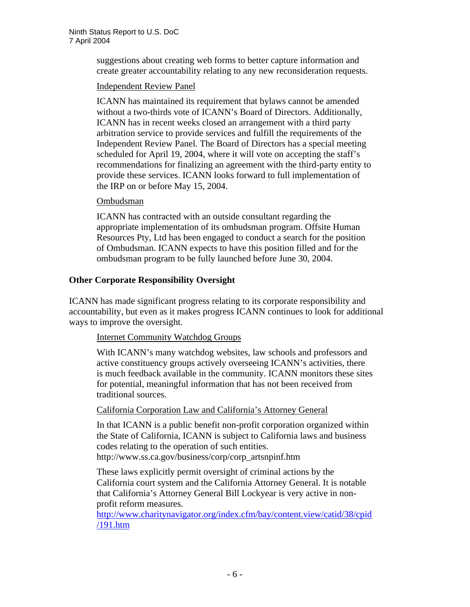suggestions about creating web forms to better capture information and create greater accountability relating to any new reconsideration requests.

## Independent Review Panel

ICANN has maintained its requirement that bylaws cannot be amended without a two-thirds vote of ICANN's Board of Directors. Additionally, ICANN has in recent weeks closed an arrangement with a third party arbitration service to provide services and fulfill the requirements of the Independent Review Panel. The Board of Directors has a special meeting scheduled for April 19, 2004, where it will vote on accepting the staff's recommendations for finalizing an agreement with the third-party entity to provide these services. ICANN looks forward to full implementation of the IRP on or before May 15, 2004.

#### Ombudsman

ICANN has contracted with an outside consultant regarding the appropriate implementation of its ombudsman program. Offsite Human Resources Pty, Ltd has been engaged to conduct a search for the position of Ombudsman. ICANN expects to have this position filled and for the ombudsman program to be fully launched before June 30, 2004.

# **Other Corporate Responsibility Oversight**

ICANN has made significant progress relating to its corporate responsibility and accountability, but even as it makes progress ICANN continues to look for additional ways to improve the oversight.

# Internet Community Watchdog Groups

With ICANN's many watchdog websites, law schools and professors and active constituency groups actively overseeing ICANN's activities, there is much feedback available in the community. ICANN monitors these sites for potential, meaningful information that has not been received from traditional sources.

California Corporation Law and California's Attorney General

In that ICANN is a public benefit non-profit corporation organized within the State of California, ICANN is subject to California laws and business codes relating to the operation of such entities. http://www.ss.ca.gov/business/corp/corp\_artsnpinf.htm

These laws explicitly permit oversight of criminal actions by the California court system and the California Attorney General. It is notable that California's Attorney General Bill Lockyear is very active in nonprofit reform measures.

http://www.charitynavigator.org/index.cfm/bay/content.view/catid/38/cpid /191.htm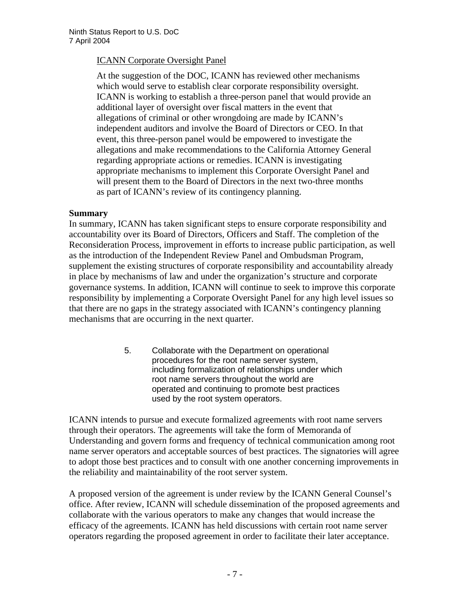## ICANN Corporate Oversight Panel

At the suggestion of the DOC, ICANN has reviewed other mechanisms which would serve to establish clear corporate responsibility oversight. ICANN is working to establish a three-person panel that would provide an additional layer of oversight over fiscal matters in the event that allegations of criminal or other wrongdoing are made by ICANN's independent auditors and involve the Board of Directors or CEO. In that event, this three-person panel would be empowered to investigate the allegations and make recommendations to the California Attorney General regarding appropriate actions or remedies. ICANN is investigating appropriate mechanisms to implement this Corporate Oversight Panel and will present them to the Board of Directors in the next two-three months as part of ICANN's review of its contingency planning.

#### **Summary**

In summary, ICANN has taken significant steps to ensure corporate responsibility and accountability over its Board of Directors, Officers and Staff. The completion of the Reconsideration Process, improvement in efforts to increase public participation, as well as the introduction of the Independent Review Panel and Ombudsman Program, supplement the existing structures of corporate responsibility and accountability already in place by mechanisms of law and under the organization's structure and corporate governance systems. In addition, ICANN will continue to seek to improve this corporate responsibility by implementing a Corporate Oversight Panel for any high level issues so that there are no gaps in the strategy associated with ICANN's contingency planning mechanisms that are occurring in the next quarter.

> 5. Collaborate with the Department on operational procedures for the root name server system, including formalization of relationships under which root name servers throughout the world are operated and continuing to promote best practices used by the root system operators.

ICANN intends to pursue and execute formalized agreements with root name servers through their operators. The agreements will take the form of Memoranda of Understanding and govern forms and frequency of technical communication among root name server operators and acceptable sources of best practices. The signatories will agree to adopt those best practices and to consult with one another concerning improvements in the reliability and maintainability of the root server system.

A proposed version of the agreement is under review by the ICANN General Counsel's office. After review, ICANN will schedule dissemination of the proposed agreements and collaborate with the various operators to make any changes that would increase the efficacy of the agreements. ICANN has held discussions with certain root name server operators regarding the proposed agreement in order to facilitate their later acceptance.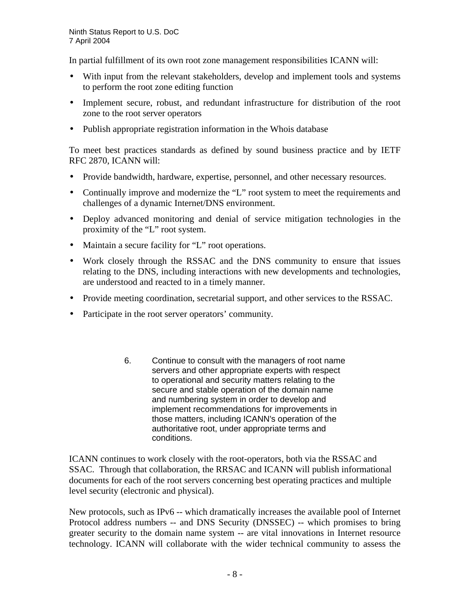In partial fulfillment of its own root zone management responsibilities ICANN will:

- With input from the relevant stakeholders, develop and implement tools and systems to perform the root zone editing function
- Implement secure, robust, and redundant infrastructure for distribution of the root zone to the root server operators
- Publish appropriate registration information in the Whois database

To meet best practices standards as defined by sound business practice and by IETF RFC 2870, ICANN will:

- Provide bandwidth, hardware, expertise, personnel, and other necessary resources.
- Continually improve and modernize the "L" root system to meet the requirements and challenges of a dynamic Internet/DNS environment.
- Deploy advanced monitoring and denial of service mitigation technologies in the proximity of the "L" root system.
- Maintain a secure facility for "L" root operations.
- Work closely through the RSSAC and the DNS community to ensure that issues relating to the DNS, including interactions with new developments and technologies, are understood and reacted to in a timely manner.
- Provide meeting coordination, secretarial support, and other services to the RSSAC.
- Participate in the root server operators' community.
	- 6. Continue to consult with the managers of root name servers and other appropriate experts with respect to operational and security matters relating to the secure and stable operation of the domain name and numbering system in order to develop and implement recommendations for improvements in those matters, including ICANN's operation of the authoritative root, under appropriate terms and conditions.

ICANN continues to work closely with the root-operators, both via the RSSAC and SSAC. Through that collaboration, the RRSAC and ICANN will publish informational documents for each of the root servers concerning best operating practices and multiple level security (electronic and physical).

New protocols, such as IPv6 -- which dramatically increases the available pool of Internet Protocol address numbers -- and DNS Security (DNSSEC) -- which promises to bring greater security to the domain name system -- are vital innovations in Internet resource technology. ICANN will collaborate with the wider technical community to assess the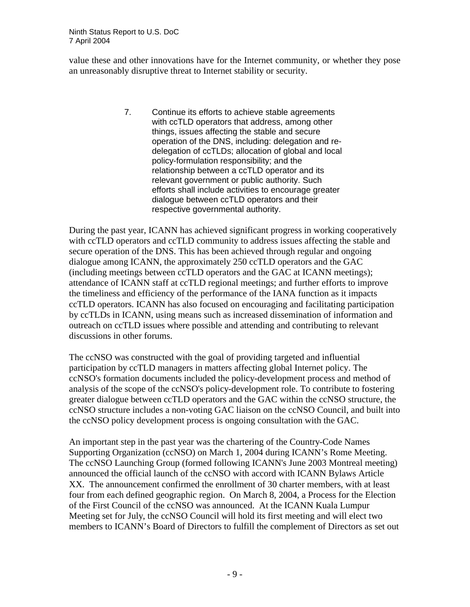value these and other innovations have for the Internet community, or whether they pose an unreasonably disruptive threat to Internet stability or security.

> 7. Continue its efforts to achieve stable agreements with ccTLD operators that address, among other things, issues affecting the stable and secure operation of the DNS, including: delegation and redelegation of ccTLDs; allocation of global and local policy-formulation responsibility; and the relationship between a ccTLD operator and its relevant government or public authority. Such efforts shall include activities to encourage greater dialogue between ccTLD operators and their respective governmental authority.

During the past year, ICANN has achieved significant progress in working cooperatively with ccTLD operators and ccTLD community to address issues affecting the stable and secure operation of the DNS. This has been achieved through regular and ongoing dialogue among ICANN, the approximately 250 ccTLD operators and the GAC (including meetings between ccTLD operators and the GAC at ICANN meetings); attendance of ICANN staff at ccTLD regional meetings; and further efforts to improve the timeliness and efficiency of the performance of the IANA function as it impacts ccTLD operators. ICANN has also focused on encouraging and facilitating participation by ccTLDs in ICANN, using means such as increased dissemination of information and outreach on ccTLD issues where possible and attending and contributing to relevant discussions in other forums.

The ccNSO was constructed with the goal of providing targeted and influential participation by ccTLD managers in matters affecting global Internet policy. The ccNSO's formation documents included the policy-development process and method of analysis of the scope of the ccNSO's policy-development role. To contribute to fostering greater dialogue between ccTLD operators and the GAC within the ccNSO structure, the ccNSO structure includes a non-voting GAC liaison on the ccNSO Council, and built into the ccNSO policy development process is ongoing consultation with the GAC.

An important step in the past year was the chartering of the Country-Code Names Supporting Organization (ccNSO) on March 1, 2004 during ICANN's Rome Meeting. The ccNSO Launching Group (formed following ICANN's June 2003 Montreal meeting) announced the official launch of the ccNSO with accord with ICANN Bylaws Article XX. The announcement confirmed the enrollment of 30 charter members, with at least four from each defined geographic region. On March 8, 2004, a Process for the Election of the First Council of the ccNSO was announced. At the ICANN Kuala Lumpur Meeting set for July, the ccNSO Council will hold its first meeting and will elect two members to ICANN's Board of Directors to fulfill the complement of Directors as set out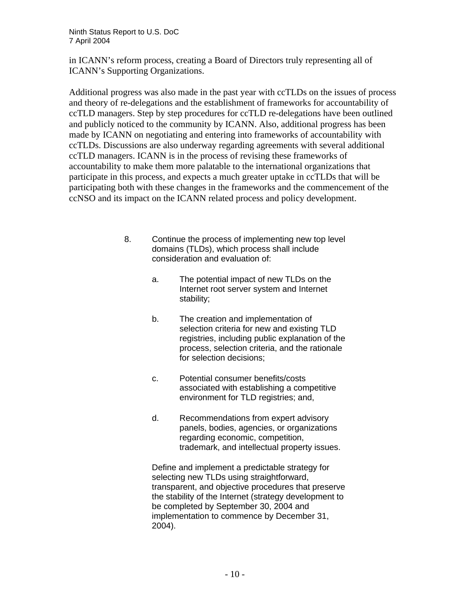in ICANN's reform process, creating a Board of Directors truly representing all of ICANN's Supporting Organizations.

Additional progress was also made in the past year with ccTLDs on the issues of process and theory of re-delegations and the establishment of frameworks for accountability of ccTLD managers. Step by step procedures for ccTLD re-delegations have been outlined and publicly noticed to the community by ICANN. Also, additional progress has been made by ICANN on negotiating and entering into frameworks of accountability with ccTLDs. Discussions are also underway regarding agreements with several additional ccTLD managers. ICANN is in the process of revising these frameworks of accountability to make them more palatable to the international organizations that participate in this process, and expects a much greater uptake in ccTLDs that will be participating both with these changes in the frameworks and the commencement of the ccNSO and its impact on the ICANN related process and policy development.

- 8. Continue the process of implementing new top level domains (TLDs), which process shall include consideration and evaluation of:
	- a. The potential impact of new TLDs on the Internet root server system and Internet stability;
	- b. The creation and implementation of selection criteria for new and existing TLD registries, including public explanation of the process, selection criteria, and the rationale for selection decisions;
	- c. Potential consumer benefits/costs associated with establishing a competitive environment for TLD registries; and,
	- d. Recommendations from expert advisory panels, bodies, agencies, or organizations regarding economic, competition, trademark, and intellectual property issues.

Define and implement a predictable strategy for selecting new TLDs using straightforward, transparent, and objective procedures that preserve the stability of the Internet (strategy development to be completed by September 30, 2004 and implementation to commence by December 31, 2004).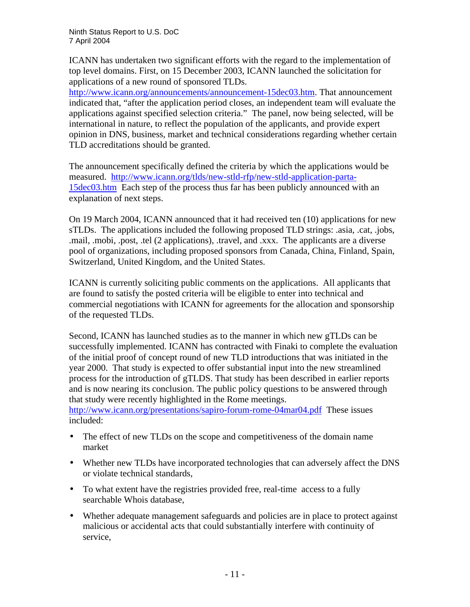ICANN has undertaken two significant efforts with the regard to the implementation of top level domains. First, on 15 December 2003, ICANN launched the solicitation for applications of a new round of sponsored TLDs.

http://www.icann.org/announcements/announcement-15dec03.htm. That announcement indicated that, "after the application period closes, an independent team will evaluate the applications against specified selection criteria." The panel, now being selected, will be international in nature, to reflect the population of the applicants, and provide expert opinion in DNS, business, market and technical considerations regarding whether certain TLD accreditations should be granted.

The announcement specifically defined the criteria by which the applications would be measured. http://www.icann.org/tlds/new-stld-rfp/new-stld-application-parta-15dec03.htm Each step of the process thus far has been publicly announced with an explanation of next steps.

On 19 March 2004, ICANN announced that it had received ten (10) applications for new sTLDs. The applications included the following proposed TLD strings: .asia, .cat, .jobs, .mail, .mobi, .post, .tel (2 applications), .travel, and .xxx. The applicants are a diverse pool of organizations, including proposed sponsors from Canada, China, Finland, Spain, Switzerland, United Kingdom, and the United States.

ICANN is currently soliciting public comments on the applications. All applicants that are found to satisfy the posted criteria will be eligible to enter into technical and commercial negotiations with ICANN for agreements for the allocation and sponsorship of the requested TLDs.

Second, ICANN has launched studies as to the manner in which new gTLDs can be successfully implemented. ICANN has contracted with Finaki to complete the evaluation of the initial proof of concept round of new TLD introductions that was initiated in the year 2000. That study is expected to offer substantial input into the new streamlined process for the introduction of gTLDS. That study has been described in earlier reports and is now nearing its conclusion. The public policy questions to be answered through that study were recently highlighted in the Rome meetings.

http://www.icann.org/presentations/sapiro-forum-rome-04mar04.pdf These issues included:

- The effect of new TLDs on the scope and competitiveness of the domain name market
- Whether new TLDs have incorporated technologies that can adversely affect the DNS or violate technical standards,
- To what extent have the registries provided free, real-time access to a fully searchable Whois database,
- Whether adequate management safeguards and policies are in place to protect against malicious or accidental acts that could substantially interfere with continuity of service,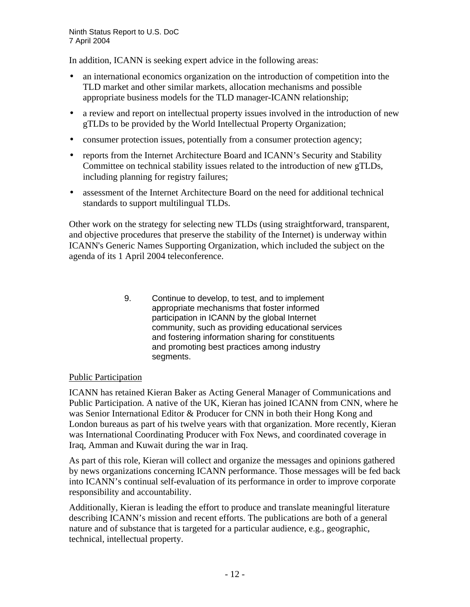In addition, ICANN is seeking expert advice in the following areas:

- an international economics organization on the introduction of competition into the TLD market and other similar markets, allocation mechanisms and possible appropriate business models for the TLD manager-ICANN relationship;
- a review and report on intellectual property issues involved in the introduction of new gTLDs to be provided by the World Intellectual Property Organization;
- consumer protection issues, potentially from a consumer protection agency;
- reports from the Internet Architecture Board and ICANN's Security and Stability Committee on technical stability issues related to the introduction of new gTLDs, including planning for registry failures;
- assessment of the Internet Architecture Board on the need for additional technical standards to support multilingual TLDs.

Other work on the strategy for selecting new TLDs (using straightforward, transparent, and objective procedures that preserve the stability of the Internet) is underway within ICANN's Generic Names Supporting Organization, which included the subject on the agenda of its 1 April 2004 teleconference.

> 9. Continue to develop, to test, and to implement appropriate mechanisms that foster informed participation in ICANN by the global Internet community, such as providing educational services and fostering information sharing for constituents and promoting best practices among industry segments.

# Public Participation

ICANN has retained Kieran Baker as Acting General Manager of Communications and Public Participation. A native of the UK, Kieran has joined ICANN from CNN, where he was Senior International Editor & Producer for CNN in both their Hong Kong and London bureaus as part of his twelve years with that organization. More recently, Kieran was International Coordinating Producer with Fox News, and coordinated coverage in Iraq, Amman and Kuwait during the war in Iraq.

As part of this role, Kieran will collect and organize the messages and opinions gathered by news organizations concerning ICANN performance. Those messages will be fed back into ICANN's continual self-evaluation of its performance in order to improve corporate responsibility and accountability.

Additionally, Kieran is leading the effort to produce and translate meaningful literature describing ICANN's mission and recent efforts. The publications are both of a general nature and of substance that is targeted for a particular audience, e.g., geographic, technical, intellectual property.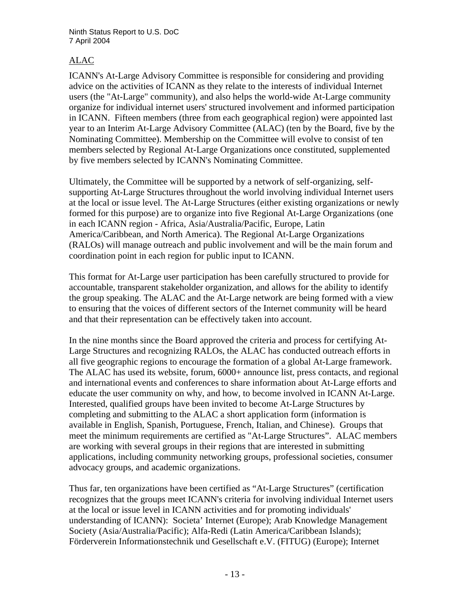# ALAC

ICANN's At-Large Advisory Committee is responsible for considering and providing advice on the activities of ICANN as they relate to the interests of individual Internet users (the "At-Large" community), and also helps the world-wide At-Large community organize for individual internet users' structured involvement and informed participation in ICANN. Fifteen members (three from each geographical region) were appointed last year to an Interim At-Large Advisory Committee (ALAC) (ten by the Board, five by the Nominating Committee). Membership on the Committee will evolve to consist of ten members selected by Regional At-Large Organizations once constituted, supplemented by five members selected by ICANN's Nominating Committee.

Ultimately, the Committee will be supported by a network of self-organizing, selfsupporting At-Large Structures throughout the world involving individual Internet users at the local or issue level. The At-Large Structures (either existing organizations or newly formed for this purpose) are to organize into five Regional At-Large Organizations (one in each ICANN region - Africa, Asia/Australia/Pacific, Europe, Latin America/Caribbean, and North America). The Regional At-Large Organizations (RALOs) will manage outreach and public involvement and will be the main forum and coordination point in each region for public input to ICANN.

This format for At-Large user participation has been carefully structured to provide for accountable, transparent stakeholder organization, and allows for the ability to identify the group speaking. The ALAC and the At-Large network are being formed with a view to ensuring that the voices of different sectors of the Internet community will be heard and that their representation can be effectively taken into account.

In the nine months since the Board approved the criteria and process for certifying At-Large Structures and recognizing RALOs, the ALAC has conducted outreach efforts in all five geographic regions to encourage the formation of a global At-Large framework. The ALAC has used its website, forum,  $6000+$  announce list, press contacts, and regional and international events and conferences to share information about At-Large efforts and educate the user community on why, and how, to become involved in ICANN At-Large. Interested, qualified groups have been invited to become At-Large Structures by completing and submitting to the ALAC a short application form (information is available in English, Spanish, Portuguese, French, Italian, and Chinese). Groups that meet the minimum requirements are certified as "At-Large Structures". ALAC members are working with several groups in their regions that are interested in submitting applications, including community networking groups, professional societies, consumer advocacy groups, and academic organizations.

Thus far, ten organizations have been certified as "At-Large Structures" (certification recognizes that the groups meet ICANN's criteria for involving individual Internet users at the local or issue level in ICANN activities and for promoting individuals' understanding of ICANN): Societa' Internet (Europe); Arab Knowledge Management Society (Asia/Australia/Pacific); Alfa-Redi (Latin America/Caribbean Islands); Förderverein Informationstechnik und Gesellschaft e.V. (FITUG) (Europe); Internet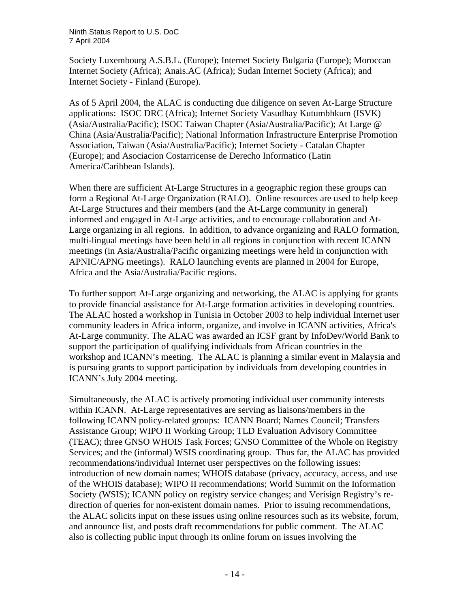Society Luxembourg A.S.B.L. (Europe); Internet Society Bulgaria (Europe); Moroccan Internet Society (Africa); Anais.AC (Africa); Sudan Internet Society (Africa); and Internet Society - Finland (Europe).

As of 5 April 2004, the ALAC is conducting due diligence on seven At-Large Structure applications: ISOC DRC (Africa); Internet Society Vasudhay Kutumbhkum (ISVK) (Asia/Australia/Pacific); ISOC Taiwan Chapter (Asia/Australia/Pacific); At Large @ China (Asia/Australia/Pacific); National Information Infrastructure Enterprise Promotion Association, Taiwan (Asia/Australia/Pacific); Internet Society - Catalan Chapter (Europe); and Asociacion Costarricense de Derecho Informatico (Latin America/Caribbean Islands).

When there are sufficient At-Large Structures in a geographic region these groups can form a Regional At-Large Organization (RALO). Online resources are used to help keep At-Large Structures and their members (and the At-Large community in general) informed and engaged in At-Large activities, and to encourage collaboration and At-Large organizing in all regions. In addition, to advance organizing and RALO formation, multi-lingual meetings have been held in all regions in conjunction with recent ICANN meetings (in Asia/Australia/Pacific organizing meetings were held in conjunction with APNIC/APNG meetings). RALO launching events are planned in 2004 for Europe, Africa and the Asia/Australia/Pacific regions.

To further support At-Large organizing and networking, the ALAC is applying for grants to provide financial assistance for At-Large formation activities in developing countries. The ALAC hosted a workshop in Tunisia in October 2003 to help individual Internet user community leaders in Africa inform, organize, and involve in ICANN activities, Africa's At-Large community. The ALAC was awarded an ICSF grant by InfoDev/World Bank to support the participation of qualifying individuals from African countries in the workshop and ICANN's meeting. The ALAC is planning a similar event in Malaysia and is pursuing grants to support participation by individuals from developing countries in ICANN's July 2004 meeting.

Simultaneously, the ALAC is actively promoting individual user community interests within ICANN. At-Large representatives are serving as liaisons/members in the following ICANN policy-related groups: ICANN Board; Names Council; Transfers Assistance Group; WIPO II Working Group; TLD Evaluation Advisory Committee (TEAC); three GNSO WHOIS Task Forces; GNSO Committee of the Whole on Registry Services; and the (informal) WSIS coordinating group. Thus far, the ALAC has provided recommendations/individual Internet user perspectives on the following issues: introduction of new domain names; WHOIS database (privacy, accuracy, access, and use of the WHOIS database); WIPO II recommendations; World Summit on the Information Society (WSIS); ICANN policy on registry service changes; and Verisign Registry's redirection of queries for non-existent domain names. Prior to issuing recommendations, the ALAC solicits input on these issues using online resources such as its website, forum, and announce list, and posts draft recommendations for public comment. The ALAC also is collecting public input through its online forum on issues involving the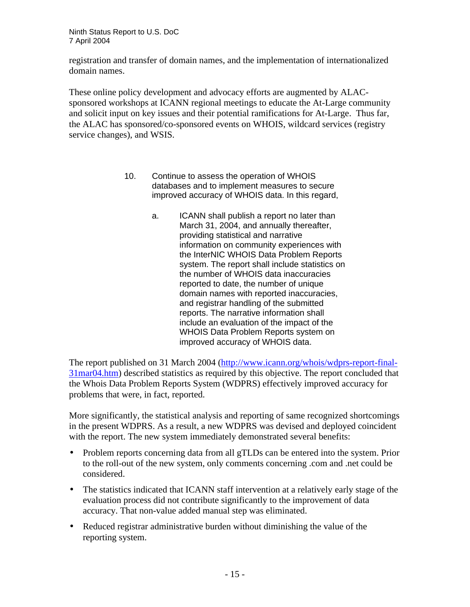registration and transfer of domain names, and the implementation of internationalized domain names.

These online policy development and advocacy efforts are augmented by ALACsponsored workshops at ICANN regional meetings to educate the At-Large community and solicit input on key issues and their potential ramifications for At-Large. Thus far, the ALAC has sponsored/co-sponsored events on WHOIS, wildcard services (registry service changes), and WSIS.

- 10. Continue to assess the operation of WHOIS databases and to implement measures to secure improved accuracy of WHOIS data. In this regard,
	- a. ICANN shall publish a report no later than March 31, 2004, and annually thereafter, providing statistical and narrative information on community experiences with the InterNIC WHOIS Data Problem Reports system. The report shall include statistics on the number of WHOIS data inaccuracies reported to date, the number of unique domain names with reported inaccuracies, and registrar handling of the submitted reports. The narrative information shall include an evaluation of the impact of the WHOIS Data Problem Reports system on improved accuracy of WHOIS data.

The report published on 31 March 2004 (http://www.icann.org/whois/wdprs-report-final-31mar04.htm) described statistics as required by this objective. The report concluded that the Whois Data Problem Reports System (WDPRS) effectively improved accuracy for problems that were, in fact, reported.

More significantly, the statistical analysis and reporting of same recognized shortcomings in the present WDPRS. As a result, a new WDPRS was devised and deployed coincident with the report. The new system immediately demonstrated several benefits:

- Problem reports concerning data from all gTLDs can be entered into the system. Prior to the roll-out of the new system, only comments concerning .com and .net could be considered.
- The statistics indicated that ICANN staff intervention at a relatively early stage of the evaluation process did not contribute significantly to the improvement of data accuracy. That non-value added manual step was eliminated.
- Reduced registrar administrative burden without diminishing the value of the reporting system.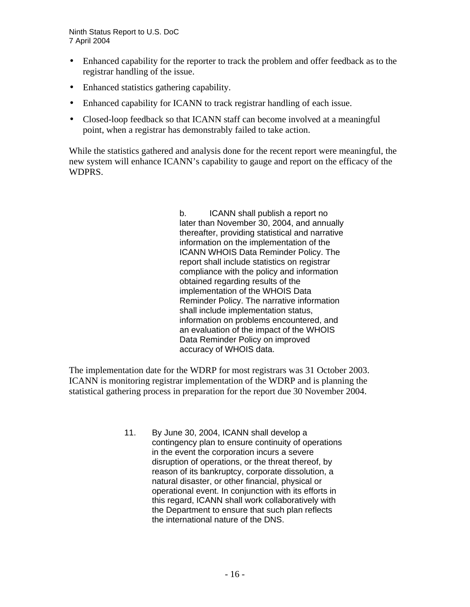- Enhanced capability for the reporter to track the problem and offer feedback as to the registrar handling of the issue.
- Enhanced statistics gathering capability.
- Enhanced capability for ICANN to track registrar handling of each issue.
- Closed-loop feedback so that ICANN staff can become involved at a meaningful point, when a registrar has demonstrably failed to take action.

While the statistics gathered and analysis done for the recent report were meaningful, the new system will enhance ICANN's capability to gauge and report on the efficacy of the WDPRS.

> b. ICANN shall publish a report no later than November 30, 2004, and annually thereafter, providing statistical and narrative information on the implementation of the ICANN WHOIS Data Reminder Policy. The report shall include statistics on registrar compliance with the policy and information obtained regarding results of the implementation of the WHOIS Data Reminder Policy. The narrative information shall include implementation status, information on problems encountered, and an evaluation of the impact of the WHOIS Data Reminder Policy on improved accuracy of WHOIS data.

The implementation date for the WDRP for most registrars was 31 October 2003. ICANN is monitoring registrar implementation of the WDRP and is planning the statistical gathering process in preparation for the report due 30 November 2004.

> 11. By June 30, 2004, ICANN shall develop a contingency plan to ensure continuity of operations in the event the corporation incurs a severe disruption of operations, or the threat thereof, by reason of its bankruptcy, corporate dissolution, a natural disaster, or other financial, physical or operational event. In conjunction with its efforts in this regard, ICANN shall work collaboratively with the Department to ensure that such plan reflects the international nature of the DNS.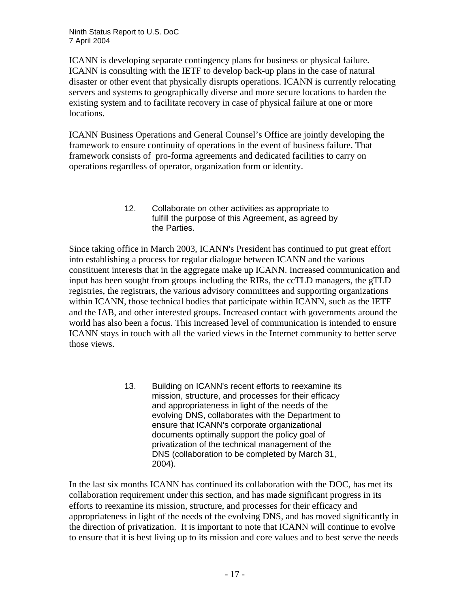ICANN is developing separate contingency plans for business or physical failure. ICANN is consulting with the IETF to develop back-up plans in the case of natural disaster or other event that physically disrupts operations. ICANN is currently relocating servers and systems to geographically diverse and more secure locations to harden the existing system and to facilitate recovery in case of physical failure at one or more locations.

ICANN Business Operations and General Counsel's Office are jointly developing the framework to ensure continuity of operations in the event of business failure. That framework consists of pro-forma agreements and dedicated facilities to carry on operations regardless of operator, organization form or identity.

#### 12. Collaborate on other activities as appropriate to fulfill the purpose of this Agreement, as agreed by the Parties.

Since taking office in March 2003, ICANN's President has continued to put great effort into establishing a process for regular dialogue between ICANN and the various constituent interests that in the aggregate make up ICANN. Increased communication and input has been sought from groups including the RIRs, the ccTLD managers, the gTLD registries, the registrars, the various advisory committees and supporting organizations within ICANN, those technical bodies that participate within ICANN, such as the IETF and the IAB, and other interested groups. Increased contact with governments around the world has also been a focus. This increased level of communication is intended to ensure ICANN stays in touch with all the varied views in the Internet community to better serve those views.

> 13. Building on ICANN's recent efforts to reexamine its mission, structure, and processes for their efficacy and appropriateness in light of the needs of the evolving DNS, collaborates with the Department to ensure that ICANN's corporate organizational documents optimally support the policy goal of privatization of the technical management of the DNS (collaboration to be completed by March 31, 2004).

In the last six months ICANN has continued its collaboration with the DOC, has met its collaboration requirement under this section, and has made significant progress in its efforts to reexamine its mission, structure, and processes for their efficacy and appropriateness in light of the needs of the evolving DNS, and has moved significantly in the direction of privatization. It is important to note that ICANN will continue to evolve to ensure that it is best living up to its mission and core values and to best serve the needs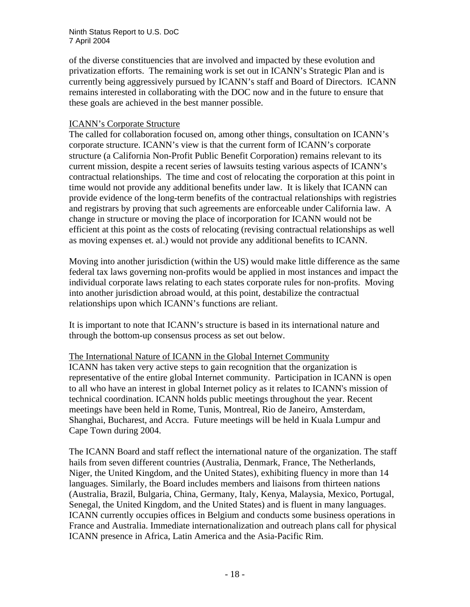of the diverse constituencies that are involved and impacted by these evolution and privatization efforts. The remaining work is set out in ICANN's Strategic Plan and is currently being aggressively pursued by ICANN's staff and Board of Directors. ICANN remains interested in collaborating with the DOC now and in the future to ensure that these goals are achieved in the best manner possible.

# ICANN's Corporate Structure

The called for collaboration focused on, among other things, consultation on ICANN's corporate structure. ICANN's view is that the current form of ICANN's corporate structure (a California Non-Profit Public Benefit Corporation) remains relevant to its current mission, despite a recent series of lawsuits testing various aspects of ICANN's contractual relationships. The time and cost of relocating the corporation at this point in time would not provide any additional benefits under law. It is likely that ICANN can provide evidence of the long-term benefits of the contractual relationships with registries and registrars by proving that such agreements are enforceable under California law. A change in structure or moving the place of incorporation for ICANN would not be efficient at this point as the costs of relocating (revising contractual relationships as well as moving expenses et. al.) would not provide any additional benefits to ICANN.

Moving into another jurisdiction (within the US) would make little difference as the same federal tax laws governing non-profits would be applied in most instances and impact the individual corporate laws relating to each states corporate rules for non-profits. Moving into another jurisdiction abroad would, at this point, destabilize the contractual relationships upon which ICANN's functions are reliant.

It is important to note that ICANN's structure is based in its international nature and through the bottom-up consensus process as set out below.

# The International Nature of ICANN in the Global Internet Community

ICANN has taken very active steps to gain recognition that the organization is representative of the entire global Internet community. Participation in ICANN is open to all who have an interest in global Internet policy as it relates to ICANN's mission of technical coordination. ICANN holds public meetings throughout the year. Recent meetings have been held in Rome, Tunis, Montreal, Rio de Janeiro, Amsterdam, Shanghai, Bucharest, and Accra. Future meetings will be held in Kuala Lumpur and Cape Town during 2004.

The ICANN Board and staff reflect the international nature of the organization. The staff hails from seven different countries (Australia, Denmark, France, The Netherlands, Niger, the United Kingdom, and the United States), exhibiting fluency in more than 14 languages. Similarly, the Board includes members and liaisons from thirteen nations (Australia, Brazil, Bulgaria, China, Germany, Italy, Kenya, Malaysia, Mexico, Portugal, Senegal, the United Kingdom, and the United States) and is fluent in many languages. ICANN currently occupies offices in Belgium and conducts some business operations in France and Australia. Immediate internationalization and outreach plans call for physical ICANN presence in Africa, Latin America and the Asia-Pacific Rim.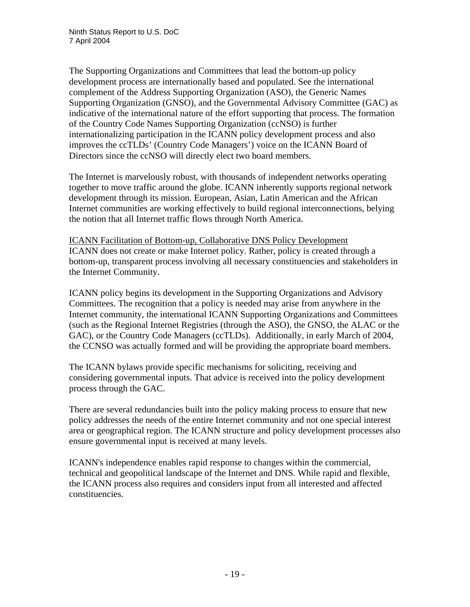The Supporting Organizations and Committees that lead the bottom-up policy development process are internationally based and populated. See the international complement of the Address Supporting Organization (ASO), the Generic Names Supporting Organization (GNSO), and the Governmental Advisory Committee (GAC) as indicative of the international nature of the effort supporting that process. The formation of the Country Code Names Supporting Organization (ccNSO) is further internationalizing participation in the ICANN policy development process and also improves the ccTLDs' (Country Code Managers') voice on the ICANN Board of Directors since the ccNSO will directly elect two board members.

The Internet is marvelously robust, with thousands of independent networks operating together to move traffic around the globe. ICANN inherently supports regional network development through its mission. European, Asian, Latin American and the African Internet communities are working effectively to build regional interconnections, belying the notion that all Internet traffic flows through North America.

ICANN Facilitation of Bottom-up, Collaborative DNS Policy Development ICANN does not create or make Internet policy. Rather, policy is created through a bottom-up, transparent process involving all necessary constituencies and stakeholders in the Internet Community.

ICANN policy begins its development in the Supporting Organizations and Advisory Committees. The recognition that a policy is needed may arise from anywhere in the Internet community, the international ICANN Supporting Organizations and Committees (such as the Regional Internet Registries (through the ASO), the GNSO, the ALAC or the GAC), or the Country Code Managers (ccTLDs). Additionally, in early March of 2004, the CCNSO was actually formed and will be providing the appropriate board members.

The ICANN bylaws provide specific mechanisms for soliciting, receiving and considering governmental inputs. That advice is received into the policy development process through the GAC.

There are several redundancies built into the policy making process to ensure that new policy addresses the needs of the entire Internet community and not one special interest area or geographical region. The ICANN structure and policy development processes also ensure governmental input is received at many levels.

ICANN's independence enables rapid response to changes within the commercial, technical and geopolitical landscape of the Internet and DNS. While rapid and flexible, the ICANN process also requires and considers input from all interested and affected constituencies.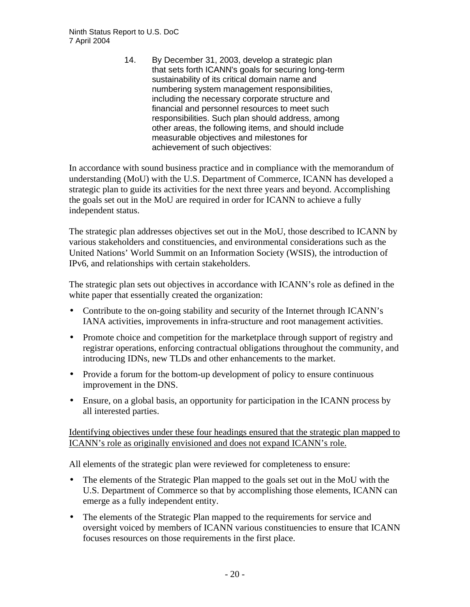14. By December 31, 2003, develop a strategic plan that sets forth ICANN's goals for securing long-term sustainability of its critical domain name and numbering system management responsibilities, including the necessary corporate structure and financial and personnel resources to meet such responsibilities. Such plan should address, among other areas, the following items, and should include measurable objectives and milestones for achievement of such objectives:

In accordance with sound business practice and in compliance with the memorandum of understanding (MoU) with the U.S. Department of Commerce, ICANN has developed a strategic plan to guide its activities for the next three years and beyond. Accomplishing the goals set out in the MoU are required in order for ICANN to achieve a fully independent status.

The strategic plan addresses objectives set out in the MoU, those described to ICANN by various stakeholders and constituencies, and environmental considerations such as the United Nations' World Summit on an Information Society (WSIS), the introduction of IPv6, and relationships with certain stakeholders.

The strategic plan sets out objectives in accordance with ICANN's role as defined in the white paper that essentially created the organization:

- Contribute to the on-going stability and security of the Internet through ICANN's IANA activities, improvements in infra-structure and root management activities.
- Promote choice and competition for the marketplace through support of registry and registrar operations, enforcing contractual obligations throughout the community, and introducing IDNs, new TLDs and other enhancements to the market.
- Provide a forum for the bottom-up development of policy to ensure continuous improvement in the DNS.
- Ensure, on a global basis, an opportunity for participation in the ICANN process by all interested parties.

Identifying objectives under these four headings ensured that the strategic plan mapped to ICANN's role as originally envisioned and does not expand ICANN's role.

All elements of the strategic plan were reviewed for completeness to ensure:

- The elements of the Strategic Plan mapped to the goals set out in the MoU with the U.S. Department of Commerce so that by accomplishing those elements, ICANN can emerge as a fully independent entity.
- The elements of the Strategic Plan mapped to the requirements for service and oversight voiced by members of ICANN various constituencies to ensure that ICANN focuses resources on those requirements in the first place.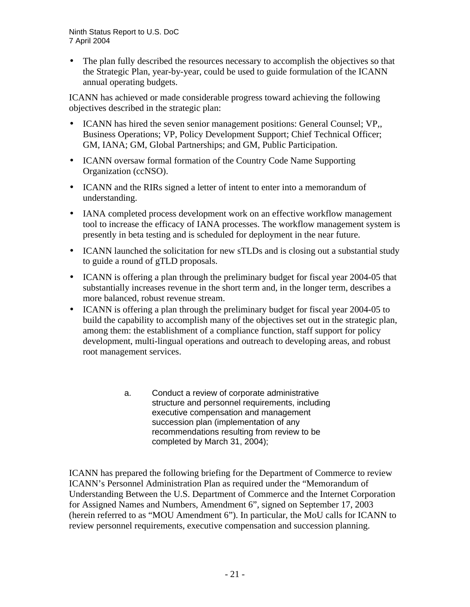• The plan fully described the resources necessary to accomplish the objectives so that the Strategic Plan, year-by-year, could be used to guide formulation of the ICANN annual operating budgets.

ICANN has achieved or made considerable progress toward achieving the following objectives described in the strategic plan:

- ICANN has hired the seven senior management positions: General Counsel; VP., Business Operations; VP, Policy Development Support; Chief Technical Officer; GM, IANA; GM, Global Partnerships; and GM, Public Participation.
- ICANN oversaw formal formation of the Country Code Name Supporting Organization (ccNSO).
- ICANN and the RIRs signed a letter of intent to enter into a memorandum of understanding.
- IANA completed process development work on an effective workflow management tool to increase the efficacy of IANA processes. The workflow management system is presently in beta testing and is scheduled for deployment in the near future.
- ICANN launched the solicitation for new sTLDs and is closing out a substantial study to guide a round of gTLD proposals.
- ICANN is offering a plan through the preliminary budget for fiscal year 2004-05 that substantially increases revenue in the short term and, in the longer term, describes a more balanced, robust revenue stream.
- ICANN is offering a plan through the preliminary budget for fiscal year 2004-05 to build the capability to accomplish many of the objectives set out in the strategic plan, among them: the establishment of a compliance function, staff support for policy development, multi-lingual operations and outreach to developing areas, and robust root management services.
	- a. Conduct a review of corporate administrative structure and personnel requirements, including executive compensation and management succession plan (implementation of any recommendations resulting from review to be completed by March 31, 2004);

ICANN has prepared the following briefing for the Department of Commerce to review ICANN's Personnel Administration Plan as required under the "Memorandum of Understanding Between the U.S. Department of Commerce and the Internet Corporation for Assigned Names and Numbers, Amendment 6", signed on September 17, 2003 (herein referred to as "MOU Amendment 6"). In particular, the MoU calls for ICANN to review personnel requirements, executive compensation and succession planning.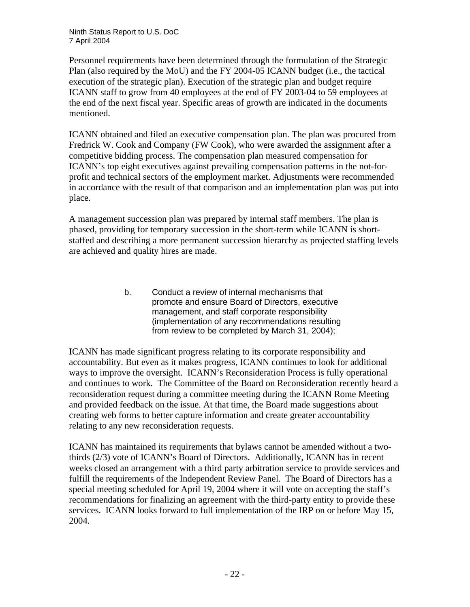Personnel requirements have been determined through the formulation of the Strategic Plan (also required by the MoU) and the FY 2004-05 ICANN budget (i.e., the tactical execution of the strategic plan). Execution of the strategic plan and budget require ICANN staff to grow from 40 employees at the end of FY 2003-04 to 59 employees at the end of the next fiscal year. Specific areas of growth are indicated in the documents mentioned.

ICANN obtained and filed an executive compensation plan. The plan was procured from Fredrick W. Cook and Company (FW Cook), who were awarded the assignment after a competitive bidding process. The compensation plan measured compensation for ICANN's top eight executives against prevailing compensation patterns in the not-forprofit and technical sectors of the employment market. Adjustments were recommended in accordance with the result of that comparison and an implementation plan was put into place.

A management succession plan was prepared by internal staff members. The plan is phased, providing for temporary succession in the short-term while ICANN is shortstaffed and describing a more permanent succession hierarchy as projected staffing levels are achieved and quality hires are made.

> b. Conduct a review of internal mechanisms that promote and ensure Board of Directors, executive management, and staff corporate responsibility (implementation of any recommendations resulting from review to be completed by March 31, 2004);

ICANN has made significant progress relating to its corporate responsibility and accountability. But even as it makes progress, ICANN continues to look for additional ways to improve the oversight. ICANN's Reconsideration Process is fully operational and continues to work. The Committee of the Board on Reconsideration recently heard a reconsideration request during a committee meeting during the ICANN Rome Meeting and provided feedback on the issue. At that time, the Board made suggestions about creating web forms to better capture information and create greater accountability relating to any new reconsideration requests.

ICANN has maintained its requirements that bylaws cannot be amended without a twothirds (2/3) vote of ICANN's Board of Directors. Additionally, ICANN has in recent weeks closed an arrangement with a third party arbitration service to provide services and fulfill the requirements of the Independent Review Panel. The Board of Directors has a special meeting scheduled for April 19, 2004 where it will vote on accepting the staff's recommendations for finalizing an agreement with the third-party entity to provide these services. ICANN looks forward to full implementation of the IRP on or before May 15, 2004.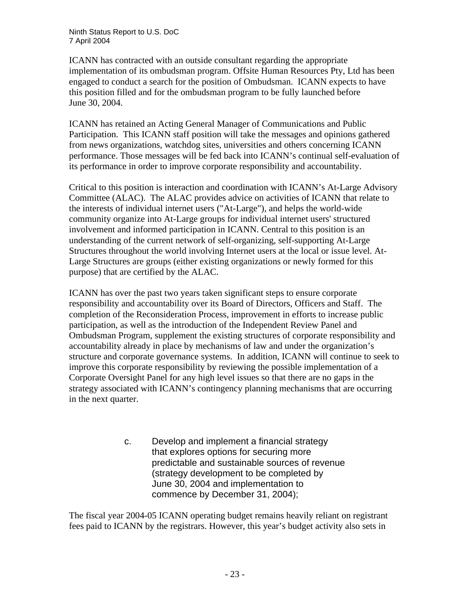ICANN has contracted with an outside consultant regarding the appropriate implementation of its ombudsman program. Offsite Human Resources Pty, Ltd has been engaged to conduct a search for the position of Ombudsman. ICANN expects to have this position filled and for the ombudsman program to be fully launched before June 30, 2004.

ICANN has retained an Acting General Manager of Communications and Public Participation. This ICANN staff position will take the messages and opinions gathered from news organizations, watchdog sites, universities and others concerning ICANN performance. Those messages will be fed back into ICANN's continual self-evaluation of its performance in order to improve corporate responsibility and accountability.

Critical to this position is interaction and coordination with ICANN's At-Large Advisory Committee (ALAC). The ALAC provides advice on activities of ICANN that relate to the interests of individual internet users ("At-Large"), and helps the world-wide community organize into At-Large groups for individual internet users' structured involvement and informed participation in ICANN. Central to this position is an understanding of the current network of self-organizing, self-supporting At-Large Structures throughout the world involving Internet users at the local or issue level. At-Large Structures are groups (either existing organizations or newly formed for this purpose) that are certified by the ALAC.

ICANN has over the past two years taken significant steps to ensure corporate responsibility and accountability over its Board of Directors, Officers and Staff. The completion of the Reconsideration Process, improvement in efforts to increase public participation, as well as the introduction of the Independent Review Panel and Ombudsman Program, supplement the existing structures of corporate responsibility and accountability already in place by mechanisms of law and under the organization's structure and corporate governance systems. In addition, ICANN will continue to seek to improve this corporate responsibility by reviewing the possible implementation of a Corporate Oversight Panel for any high level issues so that there are no gaps in the strategy associated with ICANN's contingency planning mechanisms that are occurring in the next quarter.

> c. Develop and implement a financial strategy that explores options for securing more predictable and sustainable sources of revenue (strategy development to be completed by June 30, 2004 and implementation to commence by December 31, 2004);

The fiscal year 2004-05 ICANN operating budget remains heavily reliant on registrant fees paid to ICANN by the registrars. However, this year's budget activity also sets in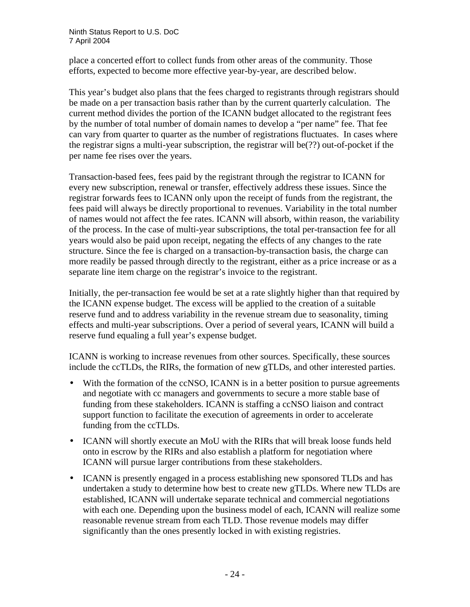place a concerted effort to collect funds from other areas of the community. Those efforts, expected to become more effective year-by-year, are described below.

This year's budget also plans that the fees charged to registrants through registrars should be made on a per transaction basis rather than by the current quarterly calculation. The current method divides the portion of the ICANN budget allocated to the registrant fees by the number of total number of domain names to develop a "per name" fee. That fee can vary from quarter to quarter as the number of registrations fluctuates. In cases where the registrar signs a multi-year subscription, the registrar will be(??) out-of-pocket if the per name fee rises over the years.

Transaction-based fees, fees paid by the registrant through the registrar to ICANN for every new subscription, renewal or transfer, effectively address these issues. Since the registrar forwards fees to ICANN only upon the receipt of funds from the registrant, the fees paid will always be directly proportional to revenues. Variability in the total number of names would not affect the fee rates. ICANN will absorb, within reason, the variability of the process. In the case of multi-year subscriptions, the total per-transaction fee for all years would also be paid upon receipt, negating the effects of any changes to the rate structure. Since the fee is charged on a transaction-by-transaction basis, the charge can more readily be passed through directly to the registrant, either as a price increase or as a separate line item charge on the registrar's invoice to the registrant.

Initially, the per-transaction fee would be set at a rate slightly higher than that required by the ICANN expense budget. The excess will be applied to the creation of a suitable reserve fund and to address variability in the revenue stream due to seasonality, timing effects and multi-year subscriptions. Over a period of several years, ICANN will build a reserve fund equaling a full year's expense budget.

ICANN is working to increase revenues from other sources. Specifically, these sources include the ccTLDs, the RIRs, the formation of new gTLDs, and other interested parties.

- With the formation of the ccNSO, ICANN is in a better position to pursue agreements and negotiate with cc managers and governments to secure a more stable base of funding from these stakeholders. ICANN is staffing a ccNSO liaison and contract support function to facilitate the execution of agreements in order to accelerate funding from the ccTLDs.
- ICANN will shortly execute an MoU with the RIRs that will break loose funds held onto in escrow by the RIRs and also establish a platform for negotiation where ICANN will pursue larger contributions from these stakeholders.
- ICANN is presently engaged in a process establishing new sponsored TLDs and has undertaken a study to determine how best to create new gTLDs. Where new TLDs are established, ICANN will undertake separate technical and commercial negotiations with each one. Depending upon the business model of each, ICANN will realize some reasonable revenue stream from each TLD. Those revenue models may differ significantly than the ones presently locked in with existing registries.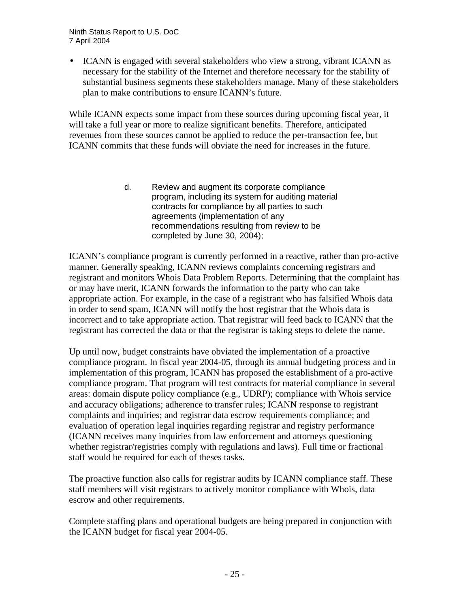• ICANN is engaged with several stakeholders who view a strong, vibrant ICANN as necessary for the stability of the Internet and therefore necessary for the stability of substantial business segments these stakeholders manage. Many of these stakeholders plan to make contributions to ensure ICANN's future.

While ICANN expects some impact from these sources during upcoming fiscal year, it will take a full year or more to realize significant benefits. Therefore, anticipated revenues from these sources cannot be applied to reduce the per-transaction fee, but ICANN commits that these funds will obviate the need for increases in the future.

> d. Review and augment its corporate compliance program, including its system for auditing material contracts for compliance by all parties to such agreements (implementation of any recommendations resulting from review to be completed by June 30, 2004);

ICANN's compliance program is currently performed in a reactive, rather than pro-active manner. Generally speaking, ICANN reviews complaints concerning registrars and registrant and monitors Whois Data Problem Reports. Determining that the complaint has or may have merit, ICANN forwards the information to the party who can take appropriate action. For example, in the case of a registrant who has falsified Whois data in order to send spam, ICANN will notify the host registrar that the Whois data is incorrect and to take appropriate action. That registrar will feed back to ICANN that the registrant has corrected the data or that the registrar is taking steps to delete the name.

Up until now, budget constraints have obviated the implementation of a proactive compliance program. In fiscal year 2004-05, through its annual budgeting process and in implementation of this program, ICANN has proposed the establishment of a pro-active compliance program. That program will test contracts for material compliance in several areas: domain dispute policy compliance (e.g., UDRP); compliance with Whois service and accuracy obligations; adherence to transfer rules; ICANN response to registrant complaints and inquiries; and registrar data escrow requirements compliance; and evaluation of operation legal inquiries regarding registrar and registry performance (ICANN receives many inquiries from law enforcement and attorneys questioning whether registrar/registries comply with regulations and laws). Full time or fractional staff would be required for each of theses tasks.

The proactive function also calls for registrar audits by ICANN compliance staff. These staff members will visit registrars to actively monitor compliance with Whois, data escrow and other requirements.

Complete staffing plans and operational budgets are being prepared in conjunction with the ICANN budget for fiscal year 2004-05.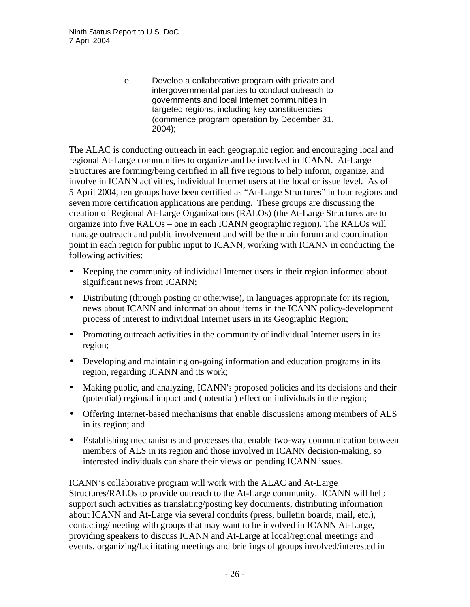e. Develop a collaborative program with private and intergovernmental parties to conduct outreach to governments and local Internet communities in targeted regions, including key constituencies (commence program operation by December 31, 2004);

The ALAC is conducting outreach in each geographic region and encouraging local and regional At-Large communities to organize and be involved in ICANN. At-Large Structures are forming/being certified in all five regions to help inform, organize, and involve in ICANN activities, individual Internet users at the local or issue level. As of 5 April 2004, ten groups have been certified as "At-Large Structures" in four regions and seven more certification applications are pending. These groups are discussing the creation of Regional At-Large Organizations (RALOs) (the At-Large Structures are to organize into five RALOs – one in each ICANN geographic region). The RALOs will manage outreach and public involvement and will be the main forum and coordination point in each region for public input to ICANN, working with ICANN in conducting the following activities:

- Keeping the community of individual Internet users in their region informed about significant news from ICANN;
- Distributing (through posting or otherwise), in languages appropriate for its region, news about ICANN and information about items in the ICANN policy-development process of interest to individual Internet users in its Geographic Region;
- Promoting outreach activities in the community of individual Internet users in its region;
- Developing and maintaining on-going information and education programs in its region, regarding ICANN and its work;
- Making public, and analyzing, ICANN's proposed policies and its decisions and their (potential) regional impact and (potential) effect on individuals in the region;
- Offering Internet-based mechanisms that enable discussions among members of ALS in its region; and
- Establishing mechanisms and processes that enable two-way communication between members of ALS in its region and those involved in ICANN decision-making, so interested individuals can share their views on pending ICANN issues.

ICANN's collaborative program will work with the ALAC and At-Large Structures/RALOs to provide outreach to the At-Large community. ICANN will help support such activities as translating/posting key documents, distributing information about ICANN and At-Large via several conduits (press, bulletin boards, mail, etc.), contacting/meeting with groups that may want to be involved in ICANN At-Large, providing speakers to discuss ICANN and At-Large at local/regional meetings and events, organizing/facilitating meetings and briefings of groups involved/interested in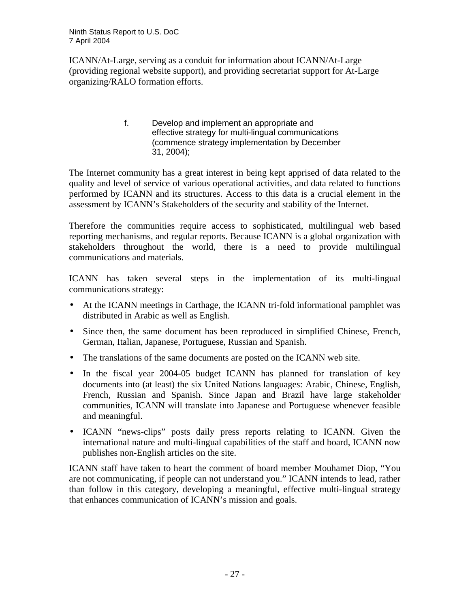ICANN/At-Large, serving as a conduit for information about ICANN/At-Large (providing regional website support), and providing secretariat support for At-Large organizing/RALO formation efforts.

> f. Develop and implement an appropriate and effective strategy for multi-lingual communications (commence strategy implementation by December 31, 2004);

The Internet community has a great interest in being kept apprised of data related to the quality and level of service of various operational activities, and data related to functions performed by ICANN and its structures. Access to this data is a crucial element in the assessment by ICANN's Stakeholders of the security and stability of the Internet.

Therefore the communities require access to sophisticated, multilingual web based reporting mechanisms, and regular reports. Because ICANN is a global organization with stakeholders throughout the world, there is a need to provide multilingual communications and materials.

ICANN has taken several steps in the implementation of its multi-lingual communications strategy:

- At the ICANN meetings in Carthage, the ICANN tri-fold informational pamphlet was distributed in Arabic as well as English.
- Since then, the same document has been reproduced in simplified Chinese, French, German, Italian, Japanese, Portuguese, Russian and Spanish.
- The translations of the same documents are posted on the ICANN web site.
- In the fiscal year 2004-05 budget ICANN has planned for translation of key documents into (at least) the six United Nations languages: Arabic, Chinese, English, French, Russian and Spanish. Since Japan and Brazil have large stakeholder communities, ICANN will translate into Japanese and Portuguese whenever feasible and meaningful.
- ICANN "news-clips" posts daily press reports relating to ICANN. Given the international nature and multi-lingual capabilities of the staff and board, ICANN now publishes non-English articles on the site.

ICANN staff have taken to heart the comment of board member Mouhamet Diop, "You are not communicating, if people can not understand you." ICANN intends to lead, rather than follow in this category, developing a meaningful, effective multi-lingual strategy that enhances communication of ICANN's mission and goals.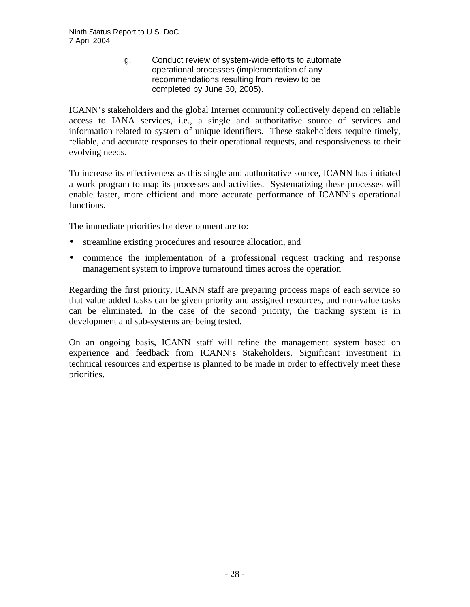g. Conduct review of system-wide efforts to automate operational processes (implementation of any recommendations resulting from review to be completed by June 30, 2005).

ICANN's stakeholders and the global Internet community collectively depend on reliable access to IANA services, i.e., a single and authoritative source of services and information related to system of unique identifiers. These stakeholders require timely, reliable, and accurate responses to their operational requests, and responsiveness to their evolving needs.

To increase its effectiveness as this single and authoritative source, ICANN has initiated a work program to map its processes and activities. Systematizing these processes will enable faster, more efficient and more accurate performance of ICANN's operational functions.

The immediate priorities for development are to:

- streamline existing procedures and resource allocation, and
- commence the implementation of a professional request tracking and response management system to improve turnaround times across the operation

Regarding the first priority, ICANN staff are preparing process maps of each service so that value added tasks can be given priority and assigned resources, and non-value tasks can be eliminated. In the case of the second priority, the tracking system is in development and sub-systems are being tested.

On an ongoing basis, ICANN staff will refine the management system based on experience and feedback from ICANN's Stakeholders. Significant investment in technical resources and expertise is planned to be made in order to effectively meet these priorities.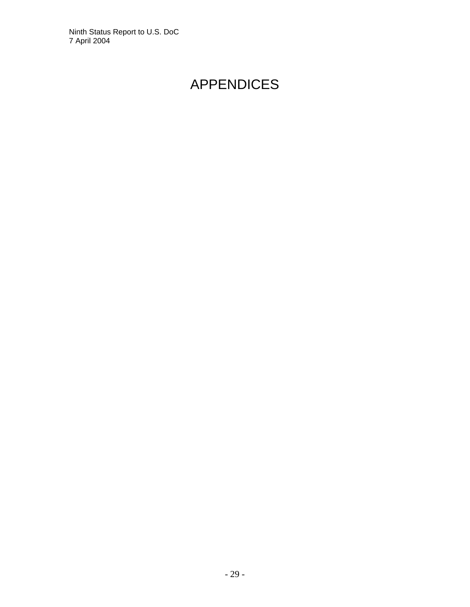# APPENDICES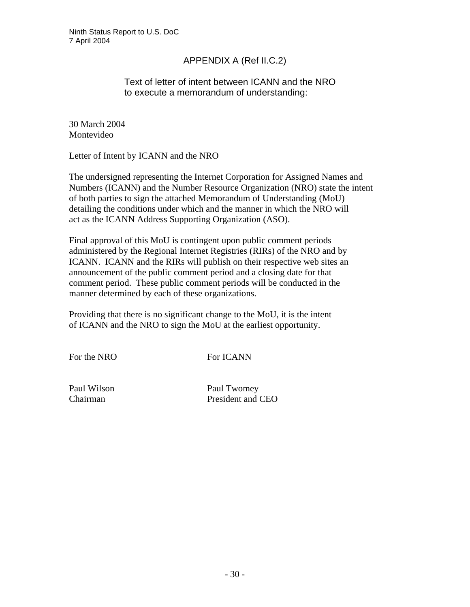# APPENDIX A (Ref II.C.2)

## Text of letter of intent between ICANN and the NRO to execute a memorandum of understanding:

30 March 2004 Montevideo

Letter of Intent by ICANN and the NRO

The undersigned representing the Internet Corporation for Assigned Names and Numbers (ICANN) and the Number Resource Organization (NRO) state the intent of both parties to sign the attached Memorandum of Understanding (MoU) detailing the conditions under which and the manner in which the NRO will act as the ICANN Address Supporting Organization (ASO).

Final approval of this MoU is contingent upon public comment periods administered by the Regional Internet Registries (RIRs) of the NRO and by ICANN. ICANN and the RIRs will publish on their respective web sites an announcement of the public comment period and a closing date for that comment period. These public comment periods will be conducted in the manner determined by each of these organizations.

Providing that there is no significant change to the MoU, it is the intent of ICANN and the NRO to sign the MoU at the earliest opportunity.

For the NRO For ICANN

Paul Wilson Paul Twomey Chairman President and CEO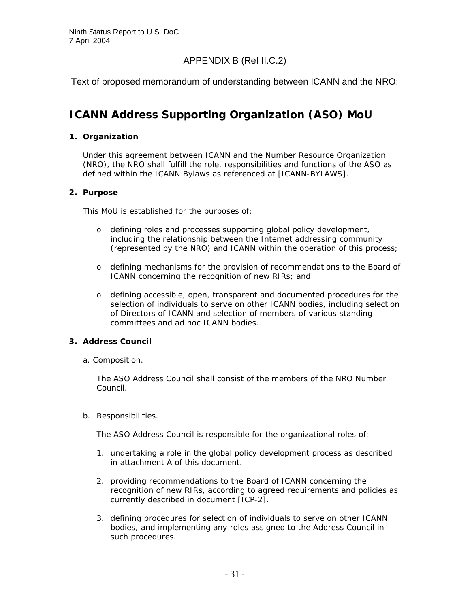# APPENDIX B (Ref II.C.2)

Text of proposed memorandum of understanding between ICANN and the NRO:

# **ICANN Address Supporting Organization (ASO) MoU**

#### **1. Organization**

Under this agreement between ICANN and the Number Resource Organization (NRO), the NRO shall fulfill the role, responsibilities and functions of the ASO as defined within the ICANN Bylaws as referenced at [ICANN-BYLAWS].

#### **2. Purpose**

This MoU is established for the purposes of:

- o defining roles and processes supporting global policy development, including the relationship between the Internet addressing community (represented by the NRO) and ICANN within the operation of this process;
- o defining mechanisms for the provision of recommendations to the Board of ICANN concerning the recognition of new RIRs; and
- o defining accessible, open, transparent and documented procedures for the selection of individuals to serve on other ICANN bodies, including selection of Directors of ICANN and selection of members of various standing committees and ad hoc ICANN bodies.

#### **3. Address Council**

a. Composition.

The ASO Address Council shall consist of the members of the NRO Number Council.

b. Responsibilities.

The ASO Address Council is responsible for the organizational roles of:

- 1. undertaking a role in the global policy development process as described in attachment A of this document.
- 2. providing recommendations to the Board of ICANN concerning the recognition of new RIRs, according to agreed requirements and policies as currently described in document [ICP-2].
- 3. defining procedures for selection of individuals to serve on other ICANN bodies, and implementing any roles assigned to the Address Council in such procedures.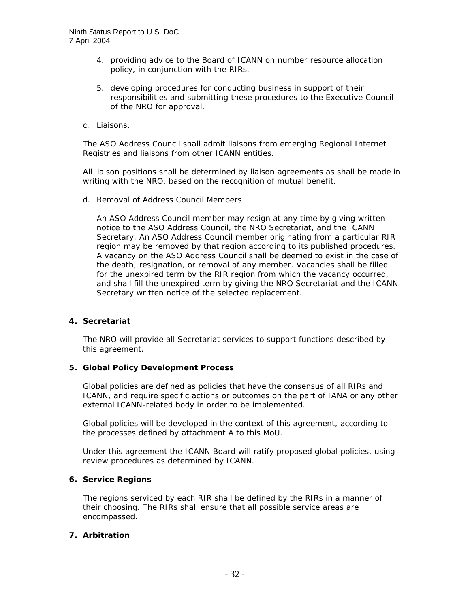- 4. providing advice to the Board of ICANN on number resource allocation policy, in conjunction with the RIRs.
- 5. developing procedures for conducting business in support of their responsibilities and submitting these procedures to the Executive Council of the NRO for approval.
- c. Liaisons.

The ASO Address Council shall admit liaisons from emerging Regional Internet Registries and liaisons from other ICANN entities.

All liaison positions shall be determined by liaison agreements as shall be made in writing with the NRO, based on the recognition of mutual benefit.

d. Removal of Address Council Members

An ASO Address Council member may resign at any time by giving written notice to the ASO Address Council, the NRO Secretariat, and the ICANN Secretary. An ASO Address Council member originating from a particular RIR region may be removed by that region according to its published procedures. A vacancy on the ASO Address Council shall be deemed to exist in the case of the death, resignation, or removal of any member. Vacancies shall be filled for the unexpired term by the RIR region from which the vacancy occurred, and shall fill the unexpired term by giving the NRO Secretariat and the ICANN Secretary written notice of the selected replacement.

#### **4. Secretariat**

The NRO will provide all Secretariat services to support functions described by this agreement.

#### **5. Global Policy Development Process**

Global policies are defined as policies that have the consensus of all RIRs and ICANN, and require specific actions or outcomes on the part of IANA or any other external ICANN-related body in order to be implemented.

Global policies will be developed in the context of this agreement, according to the processes defined by attachment A to this MoU.

Under this agreement the ICANN Board will ratify proposed global policies, using review procedures as determined by ICANN.

#### **6. Service Regions**

The regions serviced by each RIR shall be defined by the RIRs in a manner of their choosing. The RIRs shall ensure that all possible service areas are encompassed.

#### **7. Arbitration**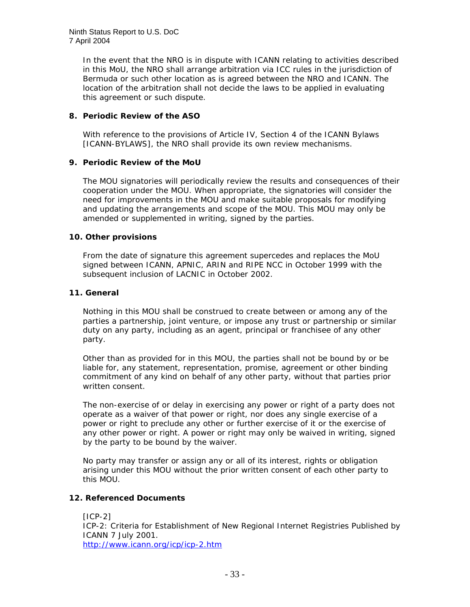In the event that the NRO is in dispute with ICANN relating to activities described in this MoU, the NRO shall arrange arbitration via ICC rules in the jurisdiction of Bermuda or such other location as is agreed between the NRO and ICANN. The location of the arbitration shall not decide the laws to be applied in evaluating this agreement or such dispute.

#### **8. Periodic Review of the ASO**

With reference to the provisions of Article IV, Section 4 of the ICANN Bylaws [ICANN-BYLAWS], the NRO shall provide its own review mechanisms.

#### **9. Periodic Review of the MoU**

The MOU signatories will periodically review the results and consequences of their cooperation under the MOU. When appropriate, the signatories will consider the need for improvements in the MOU and make suitable proposals for modifying and updating the arrangements and scope of the MOU. This MOU may only be amended or supplemented in writing, signed by the parties.

#### **10. Other provisions**

From the date of signature this agreement supercedes and replaces the MoU signed between ICANN, APNIC, ARIN and RIPE NCC in October 1999 with the subsequent inclusion of LACNIC in October 2002.

#### **11. General**

Nothing in this MOU shall be construed to create between or among any of the parties a partnership, joint venture, or impose any trust or partnership or similar duty on any party, including as an agent, principal or franchisee of any other party.

Other than as provided for in this MOU, the parties shall not be bound by or be liable for, any statement, representation, promise, agreement or other binding commitment of any kind on behalf of any other party, without that parties prior written consent.

The non-exercise of or delay in exercising any power or right of a party does not operate as a waiver of that power or right, nor does any single exercise of a power or right to preclude any other or further exercise of it or the exercise of any other power or right. A power or right may only be waived in writing, signed by the party to be bound by the waiver.

No party may transfer or assign any or all of its interest, rights or obligation arising under this MOU without the prior written consent of each other party to this MOU.

#### **12. Referenced Documents**

 $[ICP-2]$ ICP-2: Criteria for Establishment of New Regional Internet Registries Published by ICANN 7 July 2001. http://www.icann.org/icp/icp-2.htm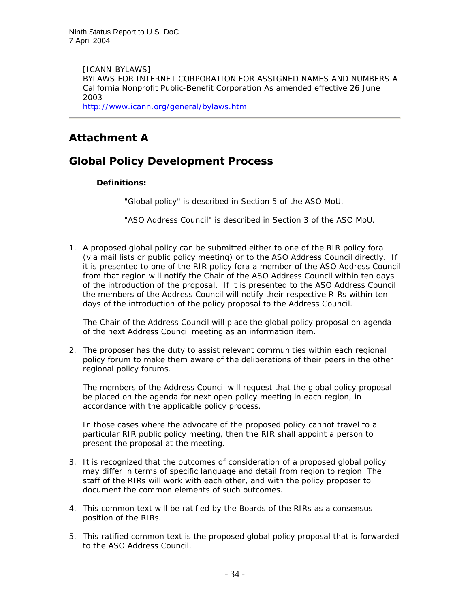[ICANN-BYLAWS] BYLAWS FOR INTERNET CORPORATION FOR ASSIGNED NAMES AND NUMBERS A California Nonprofit Public-Benefit Corporation As amended effective 26 June 2003 http://www.icann.org/general/bylaws.htm

# **Attachment A**

# **Global Policy Development Process**

#### **Definitions:**

"Global policy" is described in Section 5 of the ASO MoU.

"ASO Address Council" is described in Section 3 of the ASO MoU.

1. A proposed global policy can be submitted either to one of the RIR policy fora (via mail lists or public policy meeting) or to the ASO Address Council directly. If it is presented to one of the RIR policy fora a member of the ASO Address Council from that region will notify the Chair of the ASO Address Council within ten days of the introduction of the proposal. If it is presented to the ASO Address Council the members of the Address Council will notify their respective RIRs within ten days of the introduction of the policy proposal to the Address Council.

The Chair of the Address Council will place the global policy proposal on agenda of the next Address Council meeting as an information item.

2. The proposer has the duty to assist relevant communities within each regional policy forum to make them aware of the deliberations of their peers in the other regional policy forums.

The members of the Address Council will request that the global policy proposal be placed on the agenda for next open policy meeting in each region, in accordance with the applicable policy process.

In those cases where the advocate of the proposed policy cannot travel to a particular RIR public policy meeting, then the RIR shall appoint a person to present the proposal at the meeting.

- 3. It is recognized that the outcomes of consideration of a proposed global policy may differ in terms of specific language and detail from region to region. The staff of the RIRs will work with each other, and with the policy proposer to document the common elements of such outcomes.
- 4. This common text will be ratified by the Boards of the RIRs as a consensus position of the RIRs.
- 5. This ratified common text is the proposed global policy proposal that is forwarded to the ASO Address Council.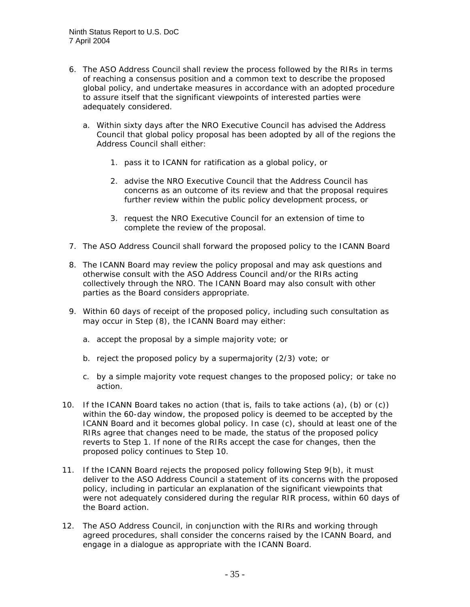- 6. The ASO Address Council shall review the process followed by the RIRs in terms of reaching a consensus position and a common text to describe the proposed global policy, and undertake measures in accordance with an adopted procedure to assure itself that the significant viewpoints of interested parties were adequately considered.
	- a. Within sixty days after the NRO Executive Council has advised the Address Council that global policy proposal has been adopted by all of the regions the Address Council shall either:
		- 1. pass it to ICANN for ratification as a global policy, or
		- 2. advise the NRO Executive Council that the Address Council has concerns as an outcome of its review and that the proposal requires further review within the public policy development process, or
		- 3. request the NRO Executive Council for an extension of time to complete the review of the proposal.
- 7. The ASO Address Council shall forward the proposed policy to the ICANN Board
- 8. The ICANN Board may review the policy proposal and may ask questions and otherwise consult with the ASO Address Council and/or the RIRs acting collectively through the NRO. The ICANN Board may also consult with other parties as the Board considers appropriate.
- 9. Within 60 days of receipt of the proposed policy, including such consultation as may occur in Step (8), the ICANN Board may either:
	- a. accept the proposal by a simple majority vote; or
	- b. reject the proposed policy by a supermajority (2/3) vote; or
	- c. by a simple majority vote request changes to the proposed policy; or take no action.
- 10. If the ICANN Board takes no action (that is, fails to take actions (a), (b) or (c)) within the 60-day window, the proposed policy is deemed to be accepted by the ICANN Board and it becomes global policy. In case (c), should at least one of the RIRs agree that changes need to be made, the status of the proposed policy reverts to Step 1. If none of the RIRs accept the case for changes, then the proposed policy continues to Step 10.
- 11. If the ICANN Board rejects the proposed policy following Step 9(b), it must deliver to the ASO Address Council a statement of its concerns with the proposed policy, including in particular an explanation of the significant viewpoints that were not adequately considered during the regular RIR process, within 60 days of the Board action.
- 12. The ASO Address Council, in conjunction with the RIRs and working through agreed procedures, shall consider the concerns raised by the ICANN Board, and engage in a dialogue as appropriate with the ICANN Board.